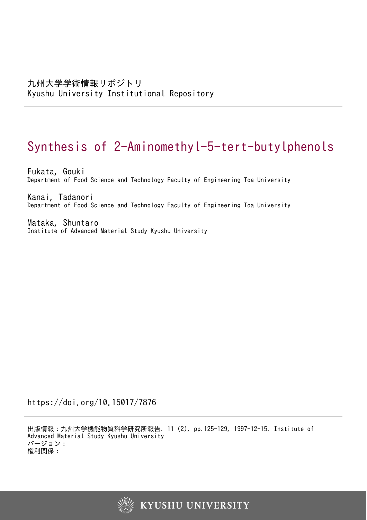# Synthesis of 2-Aminomethyl-5-tert-butylphenols

Fukata, Gouki Department of Food Science and Technology Faculty of Engineering Toa University

Kanai, Tadanori Department of Food Science and Technology Faculty of Engineering Toa University

Mataka, Shuntaro Institute of Advanced Material Study Kyushu University

https://doi.org/10.15017/7876

出版情報:九州大学機能物質科学研究所報告. 11 (2), pp.125-129, 1997-12-15. Institute of Advanced Material Study Kyushu University バージョン: 権利関係:

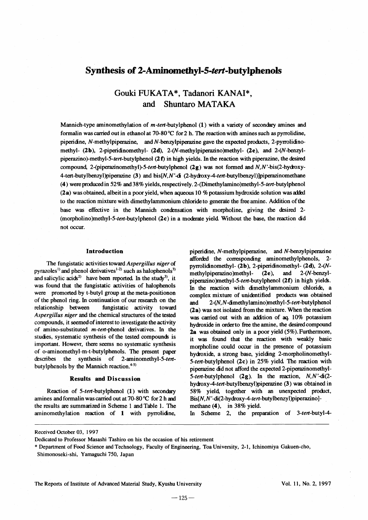### Synthesis of 2-Aminomethyl-S-tert-butylphenols

## Gouki FUKATA\*, Tadanori KANAI\*, and Shuntaro MATAKA

Mannich-type aminomethylation of *m-ten-butylphenol* (1) with a variety of secondary amines and formalin was carried out in ethanol at 70-80 °C for 2 h. The reaction with amines such as pyrrolidine, piperidine, N-methylpiperazine, and N-benzylpiperazine gave the expected products, 2-pyrrolidinomethyl- (2b), 2-piperidinomethyl- (2d), 2-(N-methylpiperazino)methyl- (2e), and 2-(N-benzylpiperazino)-methyl-5-tert-butylphenol  $(2 f)$  in high yields. In the reaction with piperazine, the desired compound, 2-(piperazinomethyl)-5-ten-butylphenol (2g) was not formed and  $N$ , $N$ '-bis(2-hydroxy-4-tert-butylbenzyl)piperazine (3) and bis[N,N'-di (2-hydroxy-4-ten-butylbenzyl)]piperazinomethane (4) were produced in 52% and 38% yields, respectively. 2-(Dimethylamino)methyl-5-tert-butylphenol  $(2a)$  was obtained, albeit in a poor yield, when aqueous 10 % potassium hydroxide solution was added to the reaction mixture with dimethylammonium chloride to generate the free amine. Addition ofthe base was effective in the Mannich condensation with morpholine, giving the desired 2-(morpholino)methyl-5-ten-butylphenol  $(2c)$  in a moderate yield. Without the base, the reaction did not occur.

#### Introduction

The fungistatic activities toward *Aspergillus niger* of pyrazoles<sup>1)</sup> and phenol derivatives<sup>1-2)</sup> such as halophenols<sup>3)</sup> and salicylic acids<sup>2)</sup> have been reported. In the study<sup>3)</sup>, it was found that the fungistatic activities of halophenols were promorted by t-butyl group at the meta-positionon of the phenol ring. In continuation of our research on the relationship between fungistatic activity toward *Aspergillus niger* and the chemical structures of the tested compounds, it seemed of interest to investigate the activity of amino-substituted *m-tert-phenol* derivatives. In the studies, systematic synthesis of the tested compounds is important. Howevr, there seems no systematic synthesis of o-aminomethyl-m-t-butylphenols. The present paper describes the synthesis of 2-aminomethyl-5-tertbutylphenols by the Mannich reaction.<sup>4-5)</sup>

#### Results and Discussion

Reaction of 5-tent-butylphenol (1) with secondary amines and formalinwas carried out at 70-80 °C for 2 h and the results are summarized in Scheme 1 and Table 1. The aminomethylation reaction of 1 with pyrrolidne,

piperidne, N-methylpiperazine, and N-benzylpiperazine afforded the corresponding aminomethylphenols, 2pyrrolidinomethyl- (2b), 2-piperidinomethyl- (2d), *2-(N*methylpiperazino)methyl- (2e), and 2-(N-benzylpiperazino)methyl-5-ten-butylphenol (2f) in high yields. In the reaction with dimethylammonium chloride, a complex mixture of unidentified products was obtained and 2-(N,N-dimethylamino)methyl-5-ten-butylphenol (2a) was not isolated from the mixture. When the reaction was carried out with an addition of  $aq$ . 10% potassium hydroxide in orderto free the amine, the desired compound 2a was obtained only in a poor yield (5%). Furthermore, it was found that the reaction with weakly basic morpholine could occur in the presence of potassium hydroxide, a strong base, yielding 2-morpholinomethyl-5-ten-butylphenol (2c) in 25% yield The reaction with piperazine did not afford the expected 2-piperazinomethyl-5-ten-butylphenol (2g). In the reaction, *N,N'-di(2* hydroxy-4-tent-butylbenzyl)piperazine (3) was obtained in 58% yield, together with an unexpected product,  $Bis[N,N'-di(2-hydroxy-4-tert-butylbenzyl)piperazino]$ methane (4), in 38% yield.

In Scheme 2, the preparation of *3-ten-butyl-4-*

Received October 03, 1997

Dedicated to Professor Masashi Tashiro on his the occasion of his retirement

\* Department of Food Science and Technology, Faculty of Engineering, Toa University, 2-1, Ichinomiya Gakuen-cho,

Shimonoseki-shi, Yamaguchi 750, Japan

The Reports of Institute of Advanced Material Study, Kyushu University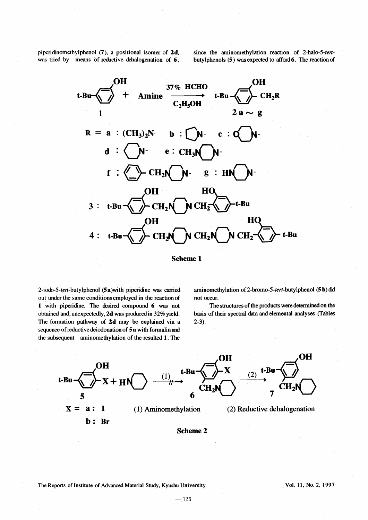piperidinomethylphenol (7), a positional isomer of 2d, was tried by means of reductive dehalogenation of  $6$ ,

since the aminomethylation reaction of 2-halo-5-tenbutylphenols (5) was expected to afford 6. The reaction of



Scheme 1

2-iodo-5-ten-butylphenol (5a)with piperidine was carried out under the same conditions employed in the reaction of 1 with piperidine. The desired compound 6 was not obtained and, unexpectedly, 2d was produced in 32% yield. The fonnation pathway of 2d may be explained via a sequence of reductive deiodonation of 5a with formalin and the subsequent aminomethylation of the resulted 1. The

aminomethylation of 2-bromo-5-tert-butylphenol  $(5 b)$  did not occur.

The structures of the products were determined on the basis of their spectral data and elemental analyses (Tables 2-3).



Scheme 2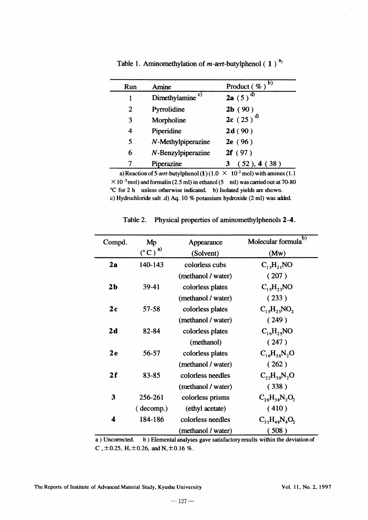| Run | Amine                       | $\mathbf{b}$<br>Product (%) |
|-----|-----------------------------|-----------------------------|
| 1   | Dimethylamine <sup>c)</sup> | $2a(5)^{d}$                 |
| 2   | Pyrrolidine                 | 2b(90)                      |
| 3   | Morpholine                  | $2c(25)^{d}$                |
| 4   | Piperidine                  | 2d(90)                      |
| 5   | N-Methylpiperazine          | 2e(96)                      |
| 6   | N-Benzylpiperazine          | 2f(97)                      |
|     | Piperazine                  | (52), 4(38)<br>3            |
|     |                             |                             |

Table 1. Aminomethylation of *m-tert*-butylphenol  $(1)^{a}$ 

a) Reaction of 5-tert-butylphenol (1) (1.0  $\times$  10<sup>-2</sup> mol) with amines (1.1  $\times$  10<sup>-2</sup>mol) and formalin (2.5 ml) in ethanol (5 ml) was carried out at 70-80 °C for 2 h unless otherwise indicated. b) Isolated yields are shown. c) Hydrochloride salt .d) Aq. 10 % potassium hydroxide (2 ml) was aided

| Compd.         | Mp                 | Appearance         | $\mathbf b)$<br>Molecular formula                  |
|----------------|--------------------|--------------------|----------------------------------------------------|
|                | $(^{\circ}C)^{a)}$ | (Solvent)          | (Mw)                                               |
| 2a             | 140-143            | colorless cubs     | $C_{13}H_{21}NO$                                   |
|                |                    | (methanol / water) | (207)                                              |
| 2 <sub>b</sub> | 39-41              | colorless plates   | $C_{15}H_{23}NO$                                   |
|                |                    | (methanol / water) | (233)                                              |
| 2c             | 57-58              | colorless plates   | $C_1$ <sub>3</sub> H <sub>23</sub> NO <sub>2</sub> |
|                |                    | (methanol / water) | (249)                                              |
| 2d             | 82-84              | colorless plates   | $C_{16}H_{25}NO$                                   |
|                |                    | (methanol)         | (247)                                              |
| 2e             | 56-57              | colorless plates   | $C_{16}H_{26}N_2O$                                 |
|                |                    | (methanol / water) | (262)                                              |
| 2f             | 83-85              | colorless needles  | $C_{22}H_{30}N_{2}O$                               |
|                |                    | (methanol / water) | (338)                                              |
| 3              | 256-261            | colorless prisms   | $C_{26}H_{38}N_2O_2$                               |
|                | (decomp.)          | (ethyl acetate)    | (410)                                              |
| 4              | 184-186            | colorless needles  | $C_{31}H_{48}N_{4}O_{2}$                           |
|                |                    | (methanol / water) | (508)                                              |

Table 2. Physical properties of aminomethylphenols 2-4.

a) Uncorrected. b ) Elemental analyses gave satisfactory results within the deviation of C,  $\pm$ 0.25, H,  $\pm$ 0.26, and N,  $\pm$ 0.16 %.

The Reports of Institute of Advanced Material Study, Kyushu University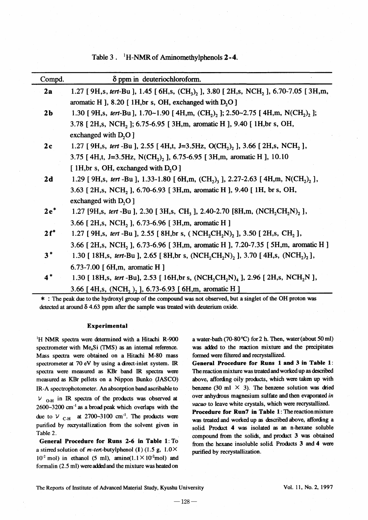Table 3. <sup>1</sup>H-NMR of Aminomethylphenols 2-4.

| Compd.         | $\delta$ ppm in deuteriochloroform.                                                                                              |
|----------------|----------------------------------------------------------------------------------------------------------------------------------|
| 2a             | 1.27 [ 9H, s, tert-Bu ], 1.45 [ 6H, s, $(CH_3)$ , ], 3.80 [ 2H, s, NCH <sub>2</sub> ], 6.70-7.05 [ 3H, m,                        |
|                | aromatic H ], 8.20 [ 1H, br s, OH, exchanged with D <sub>2</sub> O ]                                                             |
| 2 <sub>b</sub> | 1.30 [ 9H,s, tert-Bu ], 1.70~1.90 [ 4H,m, $(CH_2)$ , ]; 2.50~2.75 [ 4H,m, N(CH <sub>2</sub> ) <sub>2</sub> ];                    |
|                | 3.78 [ 2H, s, NCH, ]; 6.75-6.95 [ 3H, m, aromatic H ], 9.40 [ 1H, br s, OH,                                                      |
|                | exchanged with $D_2O$ ]                                                                                                          |
| 2c             | 1.27 [ 9H,s, tert -Bu ], 2.55 [ 4H,t, J=3.5Hz, O(CH <sub>2</sub> ) <sub>2</sub> ], 3.66 [ 2H,s, NCH <sub>2</sub> ],              |
|                | 3.75 [4H,t, J=3.5Hz, N(CH <sub>2</sub> ), ], 6.75-6.95 [3H,m, aromatic H], 10.10                                                 |
|                | [ 1H, br s, OH, exchanged with $D_2O$ ]                                                                                          |
| 2d             | 1.29 [ 9H,s, tert -Bu ], 1.33-1.80 [ 6H,m, $(CH_2)$ , ], 2.27-2.63 [ 4H,m, N(CH <sub>2</sub> ) <sub>2</sub> ],                   |
|                | 3.63 [ 2H, s, NCH, ], 6.70-6.93 [ 3H, m, aromatic H ], 9.40 [ 1H, br s, OH,                                                      |
|                | exchanged with $D2O$ ]                                                                                                           |
| $2e^*$         | 1.27 [9H,s, tert -Bu ], 2.30 [3H,s, CH <sub>3</sub> ], 2.40-2.70 [8H,m, (NCH <sub>2</sub> CH <sub>2</sub> N) <sub>2</sub> ],     |
|                | 3.66 [2H,s, NCH, ], 6.73-6.96 [3H,m, aromatic H]                                                                                 |
| $2f^*$         | 1.27 [ 9H,s, tert -Bu ], 2.55 [ 8H, br s, ( NCH <sub>2</sub> CH <sub>2</sub> N) <sub>2</sub> ], 3.50 [ 2H, s, CH <sub>2</sub> ], |
|                | 3.66 [ 2H, s, NCH, ], 6.73-6.96 [ 3H, m, aromatic H ], 7.20-7.35 [ 5H, m, aromatic H ]                                           |
| $3^*$          | 1.30 [ 18H,s, tert-Bu ], 2.65 [ 8H,br s, (NCH,CH,N), ], 3.70 [ 4H,s, (NCH <sub>2</sub> ) <sub>2</sub> ],                         |
|                | 6.73-7.00 $[6H,m,$ aromatic H $]$                                                                                                |
| $4*$           | 1.30 [ 18H,s, tert -Bu], 2.53 [ 16H,br s, $(NCH_2CH_2N)_4$ ], 2.96 [ 2H,s, NCH <sub>2</sub> N ],                                 |
|                | 3.66 [4H,s, (NCH, ), ], 6.73-6.93 [6H,m, aromatic H]                                                                             |

\* :The peak due to the hydroxyl group of the compound was not observed, but <sup>a</sup> singlet of the OH proton was detected at around  $\delta$  4.63 ppm after the sample was treated with deuterium oxide.

#### Experimental

 $H$  NMR spectra were determined with a Hitachi R-900 spectrometer with Me<sub>4</sub>Si (TMS) as an internal reference. Mass spectra were obtained on a Hitachi M-80 mass spectrometer at 70 eV by using a drect-inlet system. IR spectra were measured as KBr band IR spectra were measured as KBr pellets on a Nippon Bunko (JASCO) IR-A spectrophotometer. An absorption band ascribable to  $V_{\text{O-H}}$  in IR spectra of the products was observed at 2600-3200 cm-I as a broad peak which overlaps with the due to  $V_{\text{C-H}}$  at 2700~3100 cm<sup>-1</sup>. The products were purified by recrystallization from the solvent given in Table 2.

General Procedure for Runs 2-6 in Table 1: To a stirred solution of *m-ter*t-butylphenol (1) (1.5 g, 1.0×  $10^{2}$  mol) in ethanol (5 ml), amine( $1.1 \times 10^{2}$ mol) and formalin (2.5 ml) were addedand the mixture was heatedon

a water-bath (70-80 °C) for 2 h. Then, water (about 50 ml) was added to the reaction mixture and the precipitates formed were filtered and recrystallized.

General Procedure for Runs 1 and 3 in Table 1: The reaction mixture wastreated andworked up as described above, affording oily products, which were taken up with benzene (30 ml  $\times$  3). The benzene solution was dried over anhydrous magnesium sulfate and then evaporated in vacuo to leave white crystals, which were recrystallized.

Procedure for Run7 in Table 1: The reaction mixture was treated and worked up as described above, affording a solid. Product 4 was isolated as an n-hexane soluble compound from the solids, and prodlct 3 was obtained from the hexane insoluble solid. Products 3 and 4 were purified by recrystallization.

The Reports of Institute of Advanced Material Study, Kyushu University